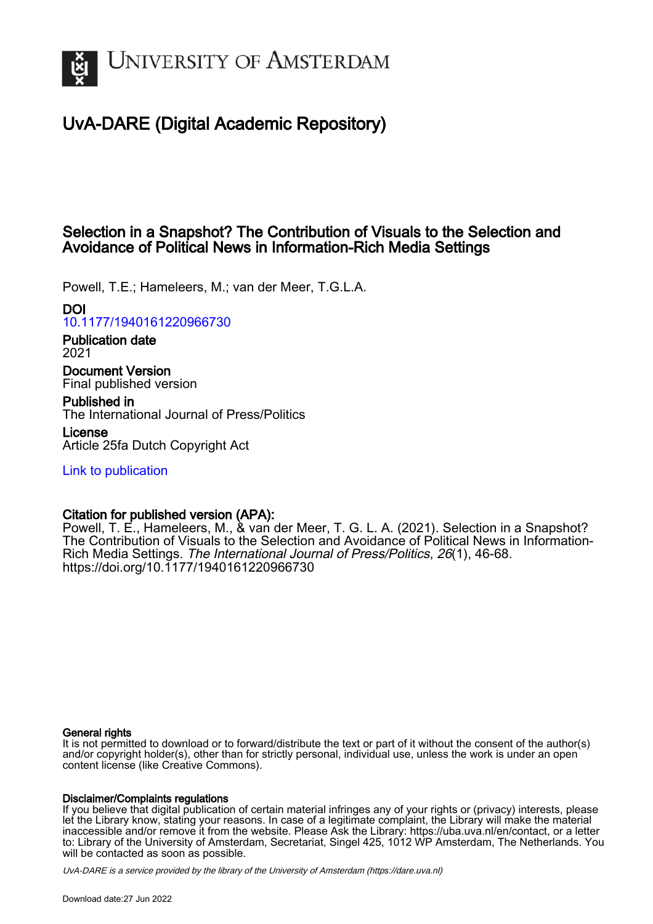

# UvA-DARE (Digital Academic Repository)

# Selection in a Snapshot? The Contribution of Visuals to the Selection and Avoidance of Political News in Information-Rich Media Settings

Powell, T.E.; Hameleers, M.; van der Meer, T.G.L.A.

# DOI

[10.1177/1940161220966730](https://doi.org/10.1177/1940161220966730)

Publication date 2021

Document Version Final published version

Published in The International Journal of Press/Politics

License Article 25fa Dutch Copyright Act

[Link to publication](https://dare.uva.nl/personal/pure/en/publications/selection-in-a-snapshot-the-contribution-of-visuals-to-the-selection-and-avoidance-of-political-news-in-informationrich-media-settings(ec5d14ea-7965-43a6-bf32-5b645d110038).html)

# Citation for published version (APA):

Powell, T. E., Hameleers, M., & van der Meer, T. G. L. A. (2021). Selection in a Snapshot? The Contribution of Visuals to the Selection and Avoidance of Political News in Information-Rich Media Settings. The International Journal of Press/Politics, 26(1), 46-68. <https://doi.org/10.1177/1940161220966730>

# General rights

It is not permitted to download or to forward/distribute the text or part of it without the consent of the author(s) and/or copyright holder(s), other than for strictly personal, individual use, unless the work is under an open content license (like Creative Commons).

# Disclaimer/Complaints regulations

If you believe that digital publication of certain material infringes any of your rights or (privacy) interests, please let the Library know, stating your reasons. In case of a legitimate complaint, the Library will make the material inaccessible and/or remove it from the website. Please Ask the Library: https://uba.uva.nl/en/contact, or a letter to: Library of the University of Amsterdam, Secretariat, Singel 425, 1012 WP Amsterdam, The Netherlands. You will be contacted as soon as possible.

UvA-DARE is a service provided by the library of the University of Amsterdam (http*s*://dare.uva.nl)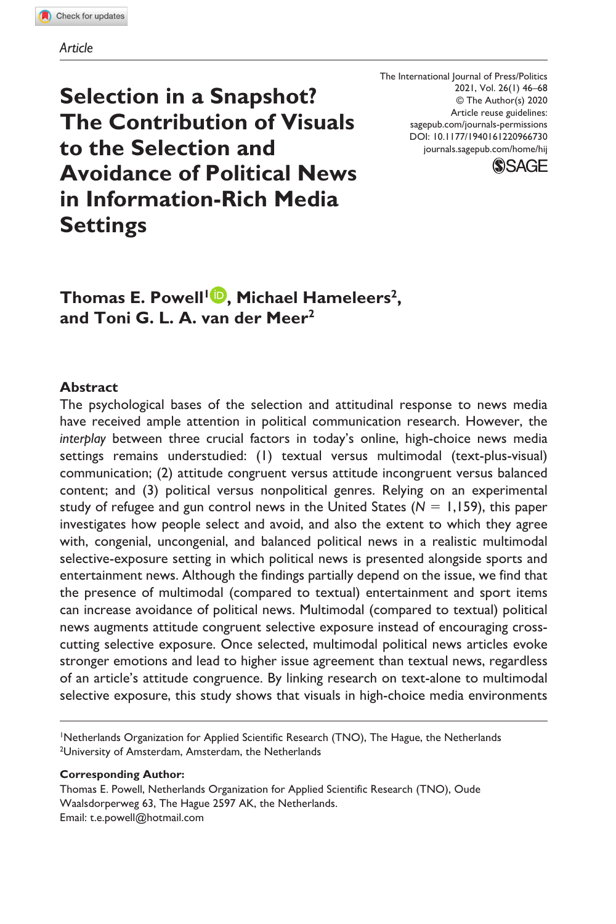**Selection in a Snapshot? The Contribution of Visuals to the Selection and Avoidance of Political News in Information-Rich Media Settings**

DOI: 10.1177/1940161220966730 The International Journal of Press/Politics 2021, Vol. 26(1) 46–68 © The Author(s) 2020 Article reuse guidelines: [sagepub.com/journals-permissions](https://us.sagepub.com/en-us/journals-permissions) [journals.sagepub.com/home/hij](https://journals.sagepub.com/home/hij)



# Thomas E. Powell<sup>1</sup><sup>(D</sup>, Michael Hameleers<sup>2</sup>, **and Toni G. L. A. van der Meer2**

#### **Abstract**

The psychological bases of the selection and attitudinal response to news media have received ample attention in political communication research. However, the *interplay* between three crucial factors in today's online, high-choice news media settings remains understudied: (1) textual versus multimodal (text-plus-visual) communication; (2) attitude congruent versus attitude incongruent versus balanced content; and (3) political versus nonpolitical genres. Relying on an experimental study of refugee and gun control news in the United States (*N* = 1,159), this paper investigates how people select and avoid, and also the extent to which they agree with, congenial, uncongenial, and balanced political news in a realistic multimodal selective-exposure setting in which political news is presented alongside sports and entertainment news. Although the findings partially depend on the issue, we find that the presence of multimodal (compared to textual) entertainment and sport items can increase avoidance of political news. Multimodal (compared to textual) political news augments attitude congruent selective exposure instead of encouraging crosscutting selective exposure. Once selected, multimodal political news articles evoke stronger emotions and lead to higher issue agreement than textual news, regardless of an article's attitude congruence. By linking research on text-alone to multimodal selective exposure, this study shows that visuals in high-choice media environments

<sup>1</sup>Netherlands Organization for Applied Scientific Research (TNO), The Hague, the Netherlands <sup>2</sup>University of Amsterdam, Amsterdam, the Netherlands

**Corresponding Author:**

Thomas E. Powell, Netherlands Organization for Applied Scientific Research (TNO), Oude Waalsdorperweg 63, The Hague 2597 AK, the Netherlands. Email: [t.e.powell@hotmail.com](mailto:t.e.powell@hotmail.com)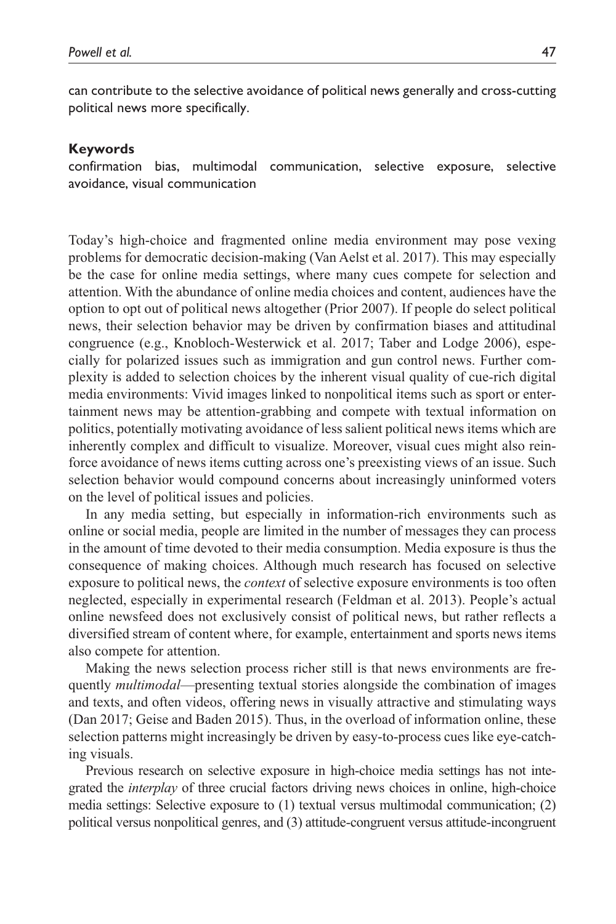can contribute to the selective avoidance of political news generally and cross-cutting political news more specifically.

#### **Keywords**

confirmation bias, multimodal communication, selective exposure, selective avoidance, visual communication

Today's high-choice and fragmented online media environment may pose vexing problems for democratic decision-making (Van Aelst et al. 2017). This may especially be the case for online media settings, where many cues compete for selection and attention. With the abundance of online media choices and content, audiences have the option to opt out of political news altogether (Prior 2007). If people do select political news, their selection behavior may be driven by confirmation biases and attitudinal congruence (e.g., Knobloch-Westerwick et al. 2017; Taber and Lodge 2006), especially for polarized issues such as immigration and gun control news. Further complexity is added to selection choices by the inherent visual quality of cue-rich digital media environments: Vivid images linked to nonpolitical items such as sport or entertainment news may be attention-grabbing and compete with textual information on politics, potentially motivating avoidance of less salient political news items which are inherently complex and difficult to visualize. Moreover, visual cues might also reinforce avoidance of news items cutting across one's preexisting views of an issue. Such selection behavior would compound concerns about increasingly uninformed voters on the level of political issues and policies.

In any media setting, but especially in information-rich environments such as online or social media, people are limited in the number of messages they can process in the amount of time devoted to their media consumption. Media exposure is thus the consequence of making choices. Although much research has focused on selective exposure to political news, the *context* of selective exposure environments is too often neglected, especially in experimental research (Feldman et al. 2013). People's actual online newsfeed does not exclusively consist of political news, but rather reflects a diversified stream of content where, for example, entertainment and sports news items also compete for attention.

Making the news selection process richer still is that news environments are frequently *multimodal*—presenting textual stories alongside the combination of images and texts, and often videos, offering news in visually attractive and stimulating ways (Dan 2017; Geise and Baden 2015). Thus, in the overload of information online, these selection patterns might increasingly be driven by easy-to-process cues like eye-catching visuals.

Previous research on selective exposure in high-choice media settings has not integrated the *interplay* of three crucial factors driving news choices in online, high-choice media settings: Selective exposure to (1) textual versus multimodal communication; (2) political versus nonpolitical genres, and (3) attitude-congruent versus attitude-incongruent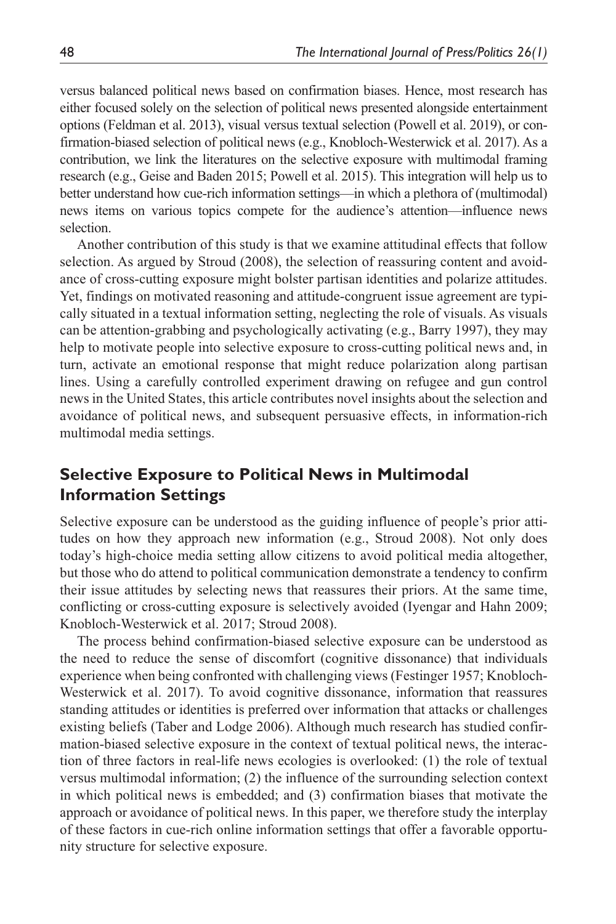versus balanced political news based on confirmation biases. Hence, most research has either focused solely on the selection of political news presented alongside entertainment options (Feldman et al. 2013), visual versus textual selection (Powell et al. 2019), or confirmation-biased selection of political news (e.g., Knobloch-Westerwick et al. 2017). As a contribution, we link the literatures on the selective exposure with multimodal framing research (e.g., Geise and Baden 2015; Powell et al. 2015). This integration will help us to better understand how cue-rich information settings—in which a plethora of (multimodal) news items on various topics compete for the audience's attention—influence news selection.

Another contribution of this study is that we examine attitudinal effects that follow selection. As argued by Stroud (2008), the selection of reassuring content and avoidance of cross-cutting exposure might bolster partisan identities and polarize attitudes. Yet, findings on motivated reasoning and attitude-congruent issue agreement are typically situated in a textual information setting, neglecting the role of visuals. As visuals can be attention-grabbing and psychologically activating (e.g., Barry 1997), they may help to motivate people into selective exposure to cross-cutting political news and, in turn, activate an emotional response that might reduce polarization along partisan lines. Using a carefully controlled experiment drawing on refugee and gun control news in the United States, this article contributes novel insights about the selection and avoidance of political news, and subsequent persuasive effects, in information-rich multimodal media settings.

# **Selective Exposure to Political News in Multimodal Information Settings**

Selective exposure can be understood as the guiding influence of people's prior attitudes on how they approach new information (e.g., Stroud 2008). Not only does today's high-choice media setting allow citizens to avoid political media altogether, but those who do attend to political communication demonstrate a tendency to confirm their issue attitudes by selecting news that reassures their priors. At the same time, conflicting or cross-cutting exposure is selectively avoided (Iyengar and Hahn 2009; Knobloch-Westerwick et al. 2017; Stroud 2008).

The process behind confirmation-biased selective exposure can be understood as the need to reduce the sense of discomfort (cognitive dissonance) that individuals experience when being confronted with challenging views (Festinger 1957; Knobloch-Westerwick et al. 2017). To avoid cognitive dissonance, information that reassures standing attitudes or identities is preferred over information that attacks or challenges existing beliefs (Taber and Lodge 2006). Although much research has studied confirmation-biased selective exposure in the context of textual political news, the interaction of three factors in real-life news ecologies is overlooked: (1) the role of textual versus multimodal information; (2) the influence of the surrounding selection context in which political news is embedded; and (3) confirmation biases that motivate the approach or avoidance of political news. In this paper, we therefore study the interplay of these factors in cue-rich online information settings that offer a favorable opportunity structure for selective exposure.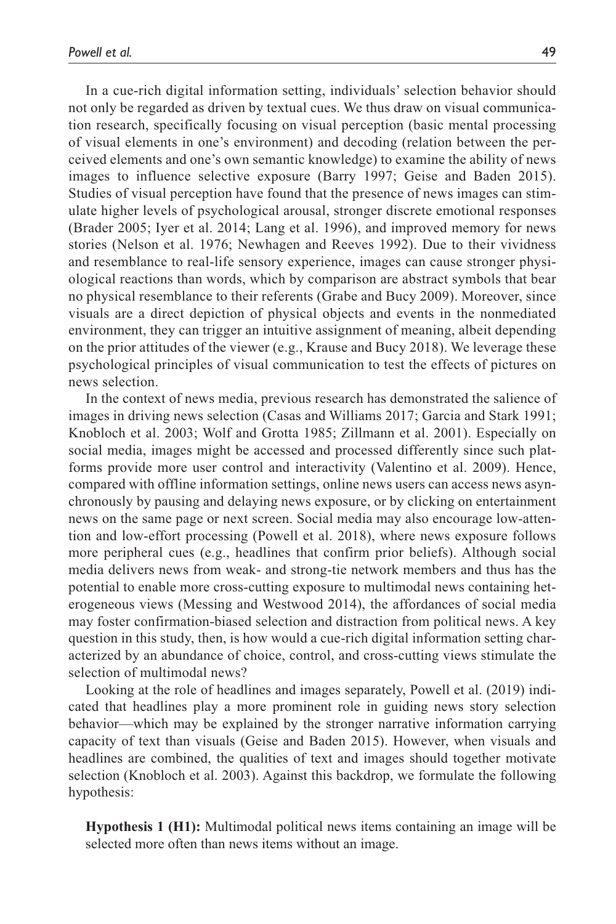In a cue-rich digital information setting, individuals' selection behavior should not only be regarded as driven by textual cues. We thus draw on visual communication research, specifically focusing on visual perception (basic mental processing of visual elements in one's environment) and decoding (relation between the perceived elements and one's own semantic knowledge) to examine the ability of news images to influence selective exposure (Barry 1997; Geise and Baden 2015). Studies of visual perception have found that the presence of news images can stimulate higher levels of psychological arousal, stronger discrete emotional responses (Brader 2005; Iyer et al. 2014; Lang et al. 1996), and improved memory for news stories (Nelson et al. 1976; Newhagen and Reeves 1992). Due to their vividness and resemblance to real-life sensory experience, images can cause stronger physiological reactions than words, which by comparison are abstract symbols that bear no physical resemblance to their referents (Grabe and Bucy 2009). Moreover, since visuals are a direct depiction of physical objects and events in the nonmediated environment, they can trigger an intuitive assignment of meaning, albeit depending on the prior attitudes of the viewer (e.g., Krause and Bucy 2018). We leverage these psychological principles of visual communication to test the effects of pictures on news selection.

In the context of news media, previous research has demonstrated the salience of images in driving news selection (Casas and Williams 2017; Garcia and Stark 1991; Knobloch et al. 2003; Wolf and Grotta 1985; Zillmann et al. 2001). Especially on social media, images might be accessed and processed differently since such platforms provide more user control and interactivity (Valentino et al. 2009). Hence, compared with offline information settings, online news users can access news asynchronously by pausing and delaying news exposure, or by clicking on entertainment news on the same page or next screen. Social media may also encourage low-attention and low-effort processing (Powell et al. 2018), where news exposure follows more peripheral cues (e.g., headlines that confirm prior beliefs). Although social media delivers news from weak- and strong-tie network members and thus has the potential to enable more cross-cutting exposure to multimodal news containing heterogeneous views (Messing and Westwood 2014), the affordances of social media may foster confirmation-biased selection and distraction from political news. A key question in this study, then, is how would a cue-rich digital information setting characterized by an abundance of choice, control, and cross-cutting views stimulate the selection of multimodal news?

Looking at the role of headlines and images separately, Powell et al. (2019) indicated that headlines play a more prominent role in guiding news story selection behavior—which may be explained by the stronger narrative information carrying capacity of text than visuals (Geise and Baden 2015). However, when visuals and headlines are combined, the qualities of text and images should together motivate selection (Knobloch et al. 2003). Against this backdrop, we formulate the following hypothesis:

**Hypothesis 1 (H1):** Multimodal political news items containing an image will be selected more often than news items without an image.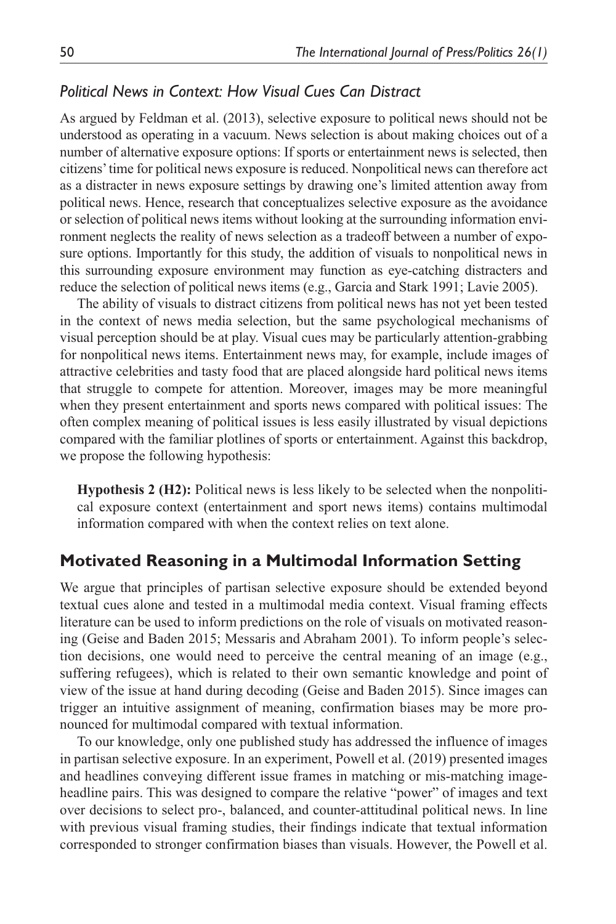# *Political News in Context: How Visual Cues Can Distract*

As argued by Feldman et al. (2013), selective exposure to political news should not be understood as operating in a vacuum. News selection is about making choices out of a number of alternative exposure options: If sports or entertainment news is selected, then citizens' time for political news exposure is reduced. Nonpolitical news can therefore act as a distracter in news exposure settings by drawing one's limited attention away from political news. Hence, research that conceptualizes selective exposure as the avoidance or selection of political news items without looking at the surrounding information environment neglects the reality of news selection as a tradeoff between a number of exposure options. Importantly for this study, the addition of visuals to nonpolitical news in this surrounding exposure environment may function as eye-catching distracters and reduce the selection of political news items (e.g., Garcia and Stark 1991; Lavie 2005).

The ability of visuals to distract citizens from political news has not yet been tested in the context of news media selection, but the same psychological mechanisms of visual perception should be at play. Visual cues may be particularly attention-grabbing for nonpolitical news items. Entertainment news may, for example, include images of attractive celebrities and tasty food that are placed alongside hard political news items that struggle to compete for attention. Moreover, images may be more meaningful when they present entertainment and sports news compared with political issues: The often complex meaning of political issues is less easily illustrated by visual depictions compared with the familiar plotlines of sports or entertainment. Against this backdrop, we propose the following hypothesis:

**Hypothesis 2 (H2):** Political news is less likely to be selected when the nonpolitical exposure context (entertainment and sport news items) contains multimodal information compared with when the context relies on text alone.

# **Motivated Reasoning in a Multimodal Information Setting**

We argue that principles of partisan selective exposure should be extended beyond textual cues alone and tested in a multimodal media context. Visual framing effects literature can be used to inform predictions on the role of visuals on motivated reasoning (Geise and Baden 2015; Messaris and Abraham 2001). To inform people's selection decisions, one would need to perceive the central meaning of an image (e.g., suffering refugees), which is related to their own semantic knowledge and point of view of the issue at hand during decoding (Geise and Baden 2015). Since images can trigger an intuitive assignment of meaning, confirmation biases may be more pronounced for multimodal compared with textual information.

To our knowledge, only one published study has addressed the influence of images in partisan selective exposure. In an experiment, Powell et al. (2019) presented images and headlines conveying different issue frames in matching or mis-matching imageheadline pairs. This was designed to compare the relative "power" of images and text over decisions to select pro-, balanced, and counter-attitudinal political news. In line with previous visual framing studies, their findings indicate that textual information corresponded to stronger confirmation biases than visuals. However, the Powell et al.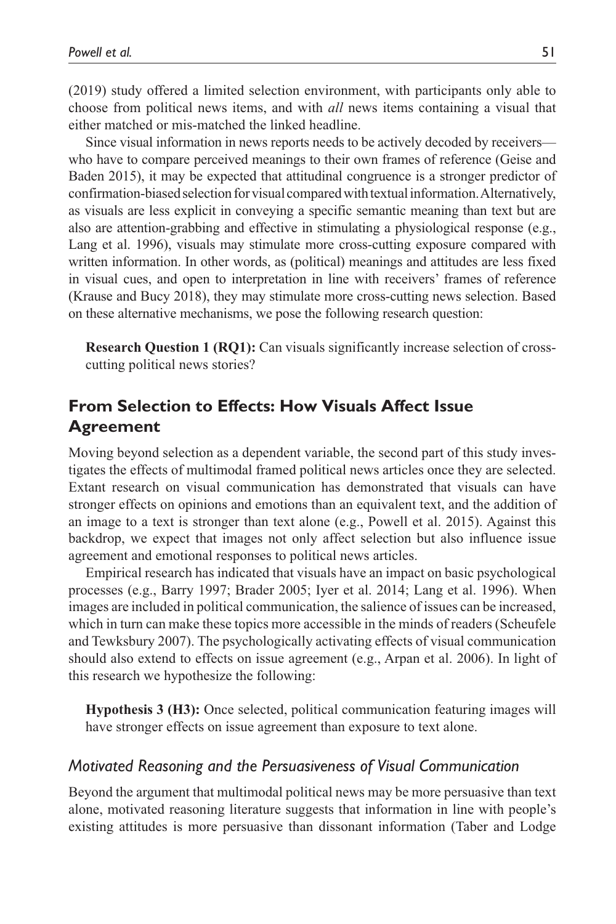(2019) study offered a limited selection environment, with participants only able to choose from political news items, and with *all* news items containing a visual that either matched or mis-matched the linked headline.

Since visual information in news reports needs to be actively decoded by receivers who have to compare perceived meanings to their own frames of reference (Geise and Baden 2015), it may be expected that attitudinal congruence is a stronger predictor of confirmation-biased selection for visual compared with textual information. Alternatively, as visuals are less explicit in conveying a specific semantic meaning than text but are also are attention-grabbing and effective in stimulating a physiological response (e.g., Lang et al. 1996), visuals may stimulate more cross-cutting exposure compared with written information. In other words, as (political) meanings and attitudes are less fixed in visual cues, and open to interpretation in line with receivers' frames of reference (Krause and Bucy 2018), they may stimulate more cross-cutting news selection. Based on these alternative mechanisms, we pose the following research question:

**Research Question 1 (RQ1):** Can visuals significantly increase selection of crosscutting political news stories?

# **From Selection to Effects: How Visuals Affect Issue Agreement**

Moving beyond selection as a dependent variable, the second part of this study investigates the effects of multimodal framed political news articles once they are selected. Extant research on visual communication has demonstrated that visuals can have stronger effects on opinions and emotions than an equivalent text, and the addition of an image to a text is stronger than text alone (e.g., Powell et al. 2015). Against this backdrop, we expect that images not only affect selection but also influence issue agreement and emotional responses to political news articles.

Empirical research has indicated that visuals have an impact on basic psychological processes (e.g., Barry 1997; Brader 2005; Iyer et al. 2014; Lang et al. 1996). When images are included in political communication, the salience of issues can be increased, which in turn can make these topics more accessible in the minds of readers (Scheufele and Tewksbury 2007). The psychologically activating effects of visual communication should also extend to effects on issue agreement (e.g., Arpan et al. 2006). In light of this research we hypothesize the following:

**Hypothesis 3 (H3):** Once selected, political communication featuring images will have stronger effects on issue agreement than exposure to text alone.

#### *Motivated Reasoning and the Persuasiveness of Visual Communication*

Beyond the argument that multimodal political news may be more persuasive than text alone, motivated reasoning literature suggests that information in line with people's existing attitudes is more persuasive than dissonant information (Taber and Lodge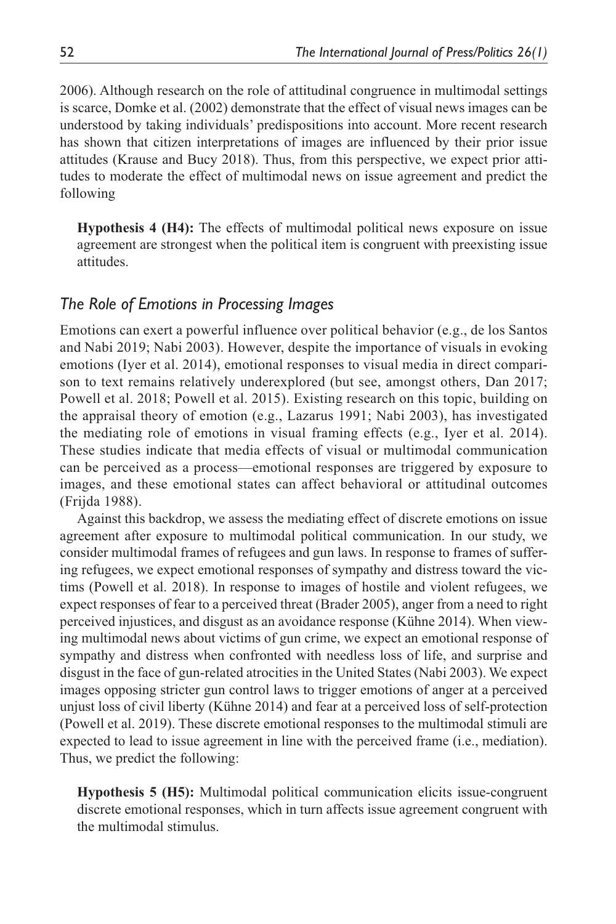2006). Although research on the role of attitudinal congruence in multimodal settings is scarce, Domke et al. (2002) demonstrate that the effect of visual news images can be understood by taking individuals' predispositions into account. More recent research has shown that citizen interpretations of images are influenced by their prior issue attitudes (Krause and Bucy 2018). Thus, from this perspective, we expect prior attitudes to moderate the effect of multimodal news on issue agreement and predict the following

**Hypothesis 4 (H4):** The effects of multimodal political news exposure on issue agreement are strongest when the political item is congruent with preexisting issue attitudes.

## *The Role of Emotions in Processing Images*

Emotions can exert a powerful influence over political behavior (e.g., de los Santos and Nabi 2019; Nabi 2003). However, despite the importance of visuals in evoking emotions (Iyer et al. 2014), emotional responses to visual media in direct comparison to text remains relatively underexplored (but see, amongst others, Dan 2017; Powell et al. 2018; Powell et al. 2015). Existing research on this topic, building on the appraisal theory of emotion (e.g., Lazarus 1991; Nabi 2003), has investigated the mediating role of emotions in visual framing effects (e.g., Iyer et al. 2014). These studies indicate that media effects of visual or multimodal communication can be perceived as a process—emotional responses are triggered by exposure to images, and these emotional states can affect behavioral or attitudinal outcomes (Frijda 1988).

Against this backdrop, we assess the mediating effect of discrete emotions on issue agreement after exposure to multimodal political communication. In our study, we consider multimodal frames of refugees and gun laws. In response to frames of suffering refugees, we expect emotional responses of sympathy and distress toward the victims (Powell et al. 2018). In response to images of hostile and violent refugees, we expect responses of fear to a perceived threat (Brader 2005), anger from a need to right perceived injustices, and disgust as an avoidance response (Kühne 2014). When viewing multimodal news about victims of gun crime, we expect an emotional response of sympathy and distress when confronted with needless loss of life, and surprise and disgust in the face of gun-related atrocities in the United States (Nabi 2003). We expect images opposing stricter gun control laws to trigger emotions of anger at a perceived unjust loss of civil liberty (Kühne 2014) and fear at a perceived loss of self-protection (Powell et al. 2019). These discrete emotional responses to the multimodal stimuli are expected to lead to issue agreement in line with the perceived frame (i.e., mediation). Thus, we predict the following:

**Hypothesis 5 (H5):** Multimodal political communication elicits issue-congruent discrete emotional responses, which in turn affects issue agreement congruent with the multimodal stimulus.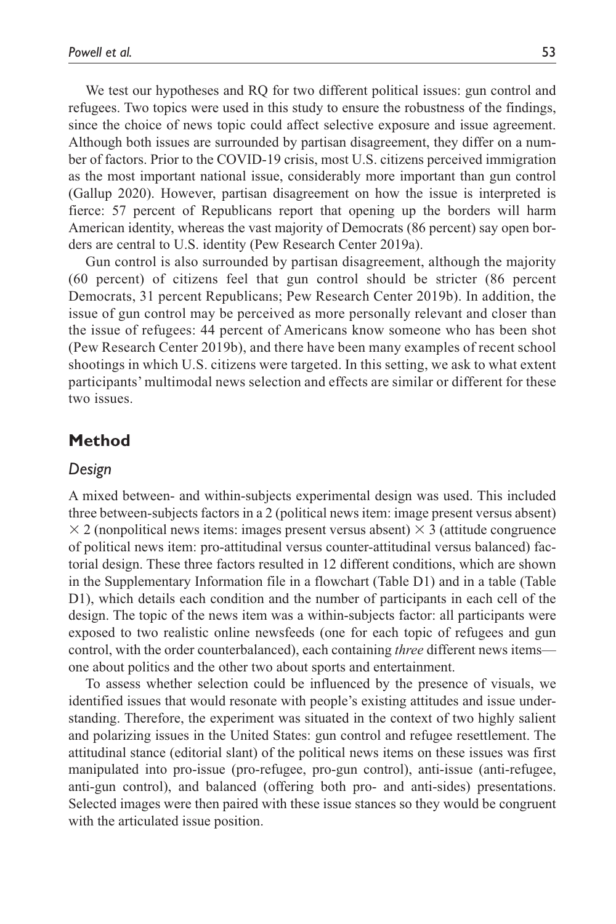We test our hypotheses and RQ for two different political issues: gun control and refugees. Two topics were used in this study to ensure the robustness of the findings, since the choice of news topic could affect selective exposure and issue agreement. Although both issues are surrounded by partisan disagreement, they differ on a number of factors. Prior to the COVID-19 crisis, most U.S. citizens perceived immigration as the most important national issue, considerably more important than gun control (Gallup 2020). However, partisan disagreement on how the issue is interpreted is fierce: 57 percent of Republicans report that opening up the borders will harm American identity, whereas the vast majority of Democrats (86 percent) say open borders are central to U.S. identity (Pew Research Center 2019a).

Gun control is also surrounded by partisan disagreement, although the majority (60 percent) of citizens feel that gun control should be stricter (86 percent Democrats, 31 percent Republicans; Pew Research Center 2019b). In addition, the issue of gun control may be perceived as more personally relevant and closer than the issue of refugees: 44 percent of Americans know someone who has been shot (Pew Research Center 2019b), and there have been many examples of recent school shootings in which U.S. citizens were targeted. In this setting, we ask to what extent participants' multimodal news selection and effects are similar or different for these two issues.

### **Method**

#### *Design*

A mixed between- and within-subjects experimental design was used. This included three between-subjects factors in a 2 (political news item: image present versus absent)  $\times$  2 (nonpolitical news items: images present versus absent)  $\times$  3 (attitude congruence of political news item: pro-attitudinal versus counter-attitudinal versus balanced) factorial design. These three factors resulted in 12 different conditions, which are shown in the Supplementary Information file in a flowchart (Table D1) and in a table (Table D1), which details each condition and the number of participants in each cell of the design. The topic of the news item was a within-subjects factor: all participants were exposed to two realistic online newsfeeds (one for each topic of refugees and gun control, with the order counterbalanced), each containing *three* different news items one about politics and the other two about sports and entertainment.

To assess whether selection could be influenced by the presence of visuals, we identified issues that would resonate with people's existing attitudes and issue understanding. Therefore, the experiment was situated in the context of two highly salient and polarizing issues in the United States: gun control and refugee resettlement. The attitudinal stance (editorial slant) of the political news items on these issues was first manipulated into pro-issue (pro-refugee, pro-gun control), anti-issue (anti-refugee, anti-gun control), and balanced (offering both pro- and anti-sides) presentations. Selected images were then paired with these issue stances so they would be congruent with the articulated issue position.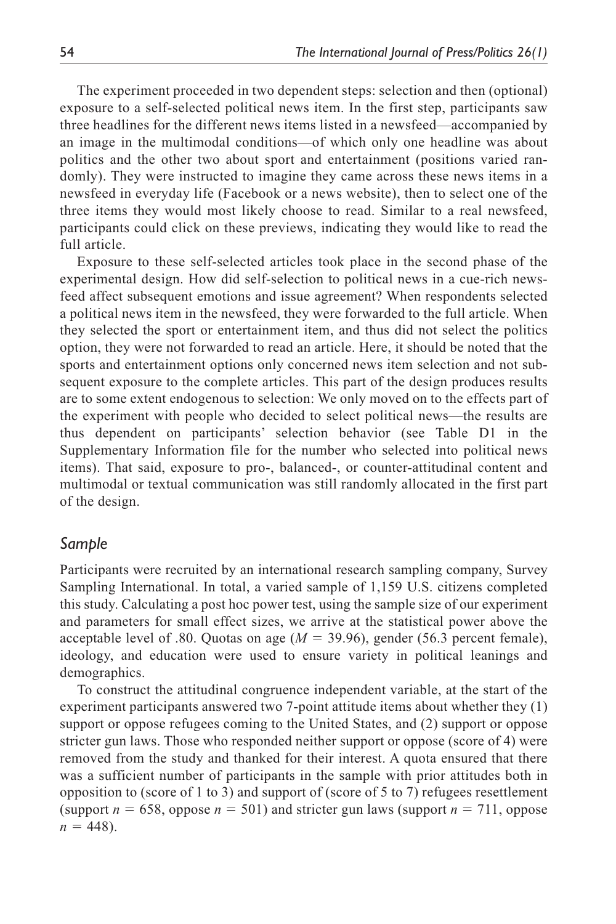The experiment proceeded in two dependent steps: selection and then (optional) exposure to a self-selected political news item. In the first step, participants saw three headlines for the different news items listed in a newsfeed—accompanied by an image in the multimodal conditions—of which only one headline was about politics and the other two about sport and entertainment (positions varied randomly). They were instructed to imagine they came across these news items in a newsfeed in everyday life (Facebook or a news website), then to select one of the three items they would most likely choose to read. Similar to a real newsfeed, participants could click on these previews, indicating they would like to read the full article.

Exposure to these self-selected articles took place in the second phase of the experimental design. How did self-selection to political news in a cue-rich newsfeed affect subsequent emotions and issue agreement? When respondents selected a political news item in the newsfeed, they were forwarded to the full article. When they selected the sport or entertainment item, and thus did not select the politics option, they were not forwarded to read an article. Here, it should be noted that the sports and entertainment options only concerned news item selection and not subsequent exposure to the complete articles. This part of the design produces results are to some extent endogenous to selection: We only moved on to the effects part of the experiment with people who decided to select political news—the results are thus dependent on participants' selection behavior (see Table D1 in the Supplementary Information file for the number who selected into political news items). That said, exposure to pro-, balanced-, or counter-attitudinal content and multimodal or textual communication was still randomly allocated in the first part of the design.

#### *Sample*

Participants were recruited by an international research sampling company, Survey Sampling International. In total, a varied sample of 1,159 U.S. citizens completed this study. Calculating a post hoc power test, using the sample size of our experiment and parameters for small effect sizes, we arrive at the statistical power above the acceptable level of .80. Quotas on age  $(M = 39.96)$ , gender (56.3 percent female), ideology, and education were used to ensure variety in political leanings and demographics.

To construct the attitudinal congruence independent variable, at the start of the experiment participants answered two 7-point attitude items about whether they (1) support or oppose refugees coming to the United States, and (2) support or oppose stricter gun laws. Those who responded neither support or oppose (score of 4) were removed from the study and thanked for their interest. A quota ensured that there was a sufficient number of participants in the sample with prior attitudes both in opposition to (score of 1 to 3) and support of (score of 5 to 7) refugees resettlement (support  $n = 658$ , oppose  $n = 501$ ) and stricter gun laws (support  $n = 711$ , oppose  $n = 448$ .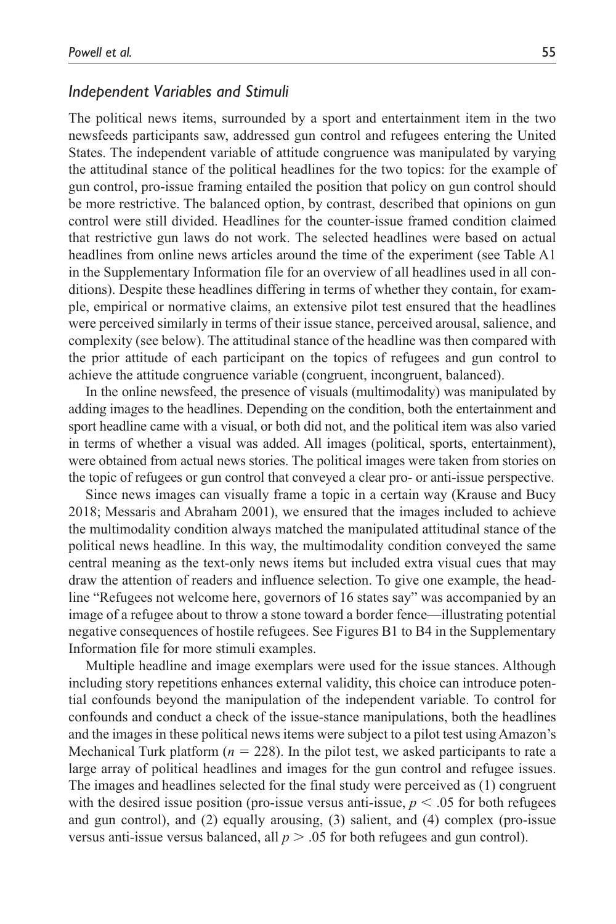#### *Independent Variables and Stimuli*

The political news items, surrounded by a sport and entertainment item in the two newsfeeds participants saw, addressed gun control and refugees entering the United States. The independent variable of attitude congruence was manipulated by varying the attitudinal stance of the political headlines for the two topics: for the example of gun control, pro-issue framing entailed the position that policy on gun control should be more restrictive. The balanced option, by contrast, described that opinions on gun control were still divided. Headlines for the counter-issue framed condition claimed that restrictive gun laws do not work. The selected headlines were based on actual headlines from online news articles around the time of the experiment (see Table A1 in the Supplementary Information file for an overview of all headlines used in all conditions). Despite these headlines differing in terms of whether they contain, for example, empirical or normative claims, an extensive pilot test ensured that the headlines were perceived similarly in terms of their issue stance, perceived arousal, salience, and complexity (see below). The attitudinal stance of the headline was then compared with the prior attitude of each participant on the topics of refugees and gun control to achieve the attitude congruence variable (congruent, incongruent, balanced).

In the online newsfeed, the presence of visuals (multimodality) was manipulated by adding images to the headlines. Depending on the condition, both the entertainment and sport headline came with a visual, or both did not, and the political item was also varied in terms of whether a visual was added. All images (political, sports, entertainment), were obtained from actual news stories. The political images were taken from stories on the topic of refugees or gun control that conveyed a clear pro- or anti-issue perspective.

Since news images can visually frame a topic in a certain way (Krause and Bucy 2018; Messaris and Abraham 2001), we ensured that the images included to achieve the multimodality condition always matched the manipulated attitudinal stance of the political news headline. In this way, the multimodality condition conveyed the same central meaning as the text-only news items but included extra visual cues that may draw the attention of readers and influence selection. To give one example, the headline "Refugees not welcome here, governors of 16 states say" was accompanied by an image of a refugee about to throw a stone toward a border fence—illustrating potential negative consequences of hostile refugees. See Figures B1 to B4 in the Supplementary Information file for more stimuli examples.

Multiple headline and image exemplars were used for the issue stances. Although including story repetitions enhances external validity, this choice can introduce potential confounds beyond the manipulation of the independent variable. To control for confounds and conduct a check of the issue-stance manipulations, both the headlines and the images in these political news items were subject to a pilot test using Amazon's Mechanical Turk platform  $(n = 228)$ . In the pilot test, we asked participants to rate a large array of political headlines and images for the gun control and refugee issues. The images and headlines selected for the final study were perceived as (1) congruent with the desired issue position (pro-issue versus anti-issue,  $p < .05$  for both refugees and gun control), and (2) equally arousing, (3) salient, and (4) complex (pro-issue versus anti-issue versus balanced, all *p* > .05 for both refugees and gun control).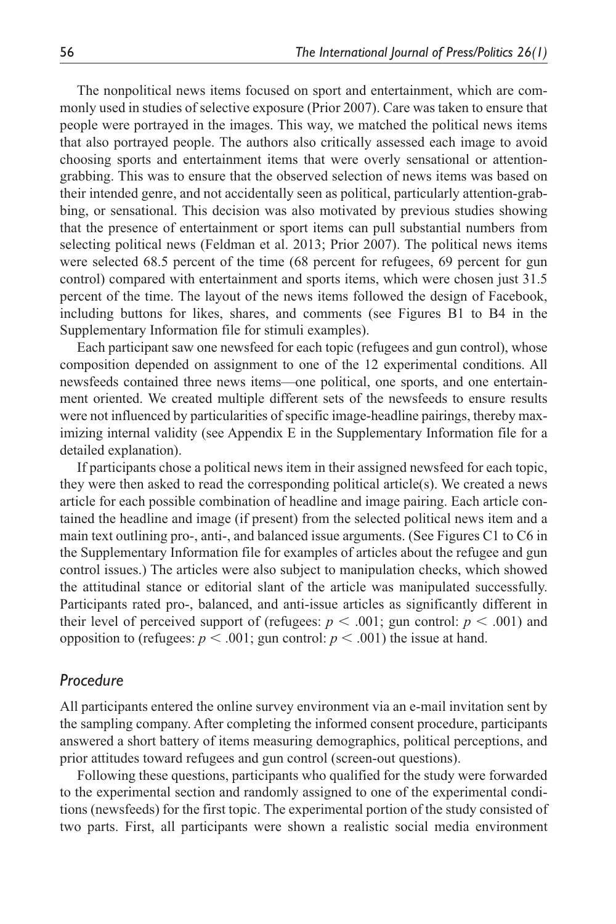The nonpolitical news items focused on sport and entertainment, which are commonly used in studies of selective exposure (Prior 2007). Care was taken to ensure that people were portrayed in the images. This way, we matched the political news items that also portrayed people. The authors also critically assessed each image to avoid choosing sports and entertainment items that were overly sensational or attentiongrabbing. This was to ensure that the observed selection of news items was based on their intended genre, and not accidentally seen as political, particularly attention-grabbing, or sensational. This decision was also motivated by previous studies showing that the presence of entertainment or sport items can pull substantial numbers from selecting political news (Feldman et al. 2013; Prior 2007). The political news items were selected 68.5 percent of the time (68 percent for refugees, 69 percent for gun control) compared with entertainment and sports items, which were chosen just 31.5 percent of the time. The layout of the news items followed the design of Facebook, including buttons for likes, shares, and comments (see Figures B1 to B4 in the Supplementary Information file for stimuli examples).

Each participant saw one newsfeed for each topic (refugees and gun control), whose composition depended on assignment to one of the 12 experimental conditions. All newsfeeds contained three news items—one political, one sports, and one entertainment oriented. We created multiple different sets of the newsfeeds to ensure results were not influenced by particularities of specific image-headline pairings, thereby maximizing internal validity (see Appendix E in the Supplementary Information file for a detailed explanation).

If participants chose a political news item in their assigned newsfeed for each topic, they were then asked to read the corresponding political article(s). We created a news article for each possible combination of headline and image pairing. Each article contained the headline and image (if present) from the selected political news item and a main text outlining pro-, anti-, and balanced issue arguments. (See Figures C1 to C6 in the Supplementary Information file for examples of articles about the refugee and gun control issues.) The articles were also subject to manipulation checks, which showed the attitudinal stance or editorial slant of the article was manipulated successfully. Participants rated pro-, balanced, and anti-issue articles as significantly different in their level of perceived support of (refugees:  $p < .001$ ; gun control:  $p < .001$ ) and opposition to (refugees:  $p < .001$ ; gun control:  $p < .001$ ) the issue at hand.

#### *Procedure*

All participants entered the online survey environment via an e-mail invitation sent by the sampling company. After completing the informed consent procedure, participants answered a short battery of items measuring demographics, political perceptions, and prior attitudes toward refugees and gun control (screen-out questions).

Following these questions, participants who qualified for the study were forwarded to the experimental section and randomly assigned to one of the experimental conditions (newsfeeds) for the first topic. The experimental portion of the study consisted of two parts. First, all participants were shown a realistic social media environment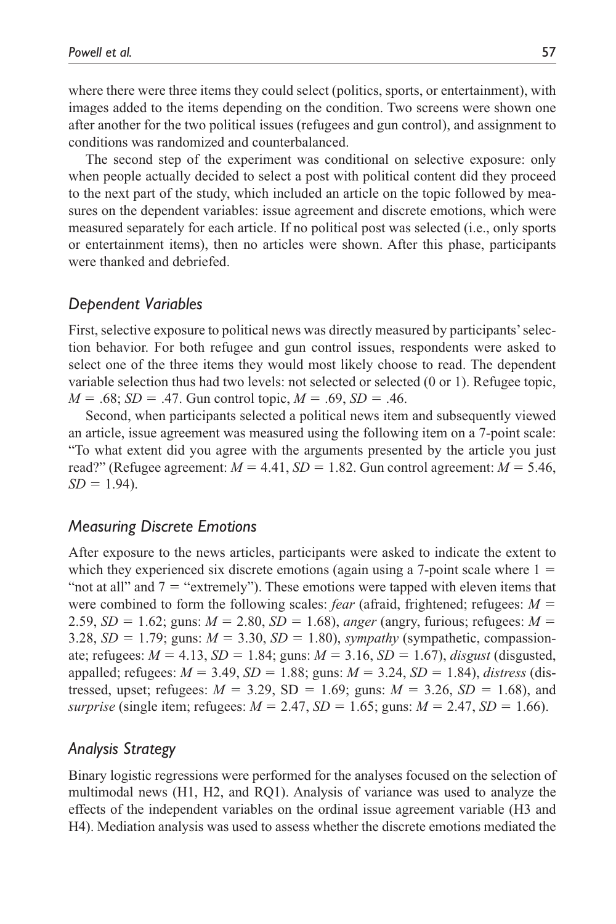where there were three items they could select (politics, sports, or entertainment), with images added to the items depending on the condition. Two screens were shown one after another for the two political issues (refugees and gun control), and assignment to conditions was randomized and counterbalanced.

The second step of the experiment was conditional on selective exposure: only when people actually decided to select a post with political content did they proceed to the next part of the study, which included an article on the topic followed by measures on the dependent variables: issue agreement and discrete emotions, which were measured separately for each article. If no political post was selected (i.e., only sports or entertainment items), then no articles were shown. After this phase, participants were thanked and debriefed.

#### *Dependent Variables*

First, selective exposure to political news was directly measured by participants' selection behavior. For both refugee and gun control issues, respondents were asked to select one of the three items they would most likely choose to read. The dependent variable selection thus had two levels: not selected or selected (0 or 1). Refugee topic,  $M = .68$ ; *SD* = .47. Gun control topic,  $M = .69$ , *SD* = .46.

Second, when participants selected a political news item and subsequently viewed an article, issue agreement was measured using the following item on a 7-point scale: "To what extent did you agree with the arguments presented by the article you just read?" (Refugee agreement:  $M = 4.41$ ,  $SD = 1.82$ . Gun control agreement:  $M = 5.46$ ,  $SD = 1.94$ .

#### *Measuring Discrete Emotions*

After exposure to the news articles, participants were asked to indicate the extent to which they experienced six discrete emotions (again using a 7-point scale where  $1 =$ "not at all" and  $7 =$  "extremely"). These emotions were tapped with eleven items that were combined to form the following scales: *fear* (afraid, frightened; refugees: *M* = 2.59,  $SD = 1.62$ ; guns:  $M = 2.80$ ,  $SD = 1.68$ ), *anger* (angry, furious; refugees:  $M =$ 3.28, *SD* = 1.79; guns: *M* = 3.30, *SD* = 1.80), *sympathy* (sympathetic, compassionate; refugees: *M* = 4.13, *SD* = 1.84; guns: *M* = 3.16, *SD* = 1.67), *disgust* (disgusted, appalled; refugees: *M* = 3.49, *SD* = 1.88; guns: *M* = 3.24, *SD* = 1.84), *distress* (distressed, upset; refugees:  $M = 3.29$ , SD = 1.69; guns:  $M = 3.26$ , SD = 1.68), and *surprise* (single item; refugees:  $M = 2.47$ ,  $SD = 1.65$ ; guns:  $M = 2.47$ ,  $SD = 1.66$ ).

## *Analysis Strategy*

Binary logistic regressions were performed for the analyses focused on the selection of multimodal news (H1, H2, and RQ1). Analysis of variance was used to analyze the effects of the independent variables on the ordinal issue agreement variable (H3 and H4). Mediation analysis was used to assess whether the discrete emotions mediated the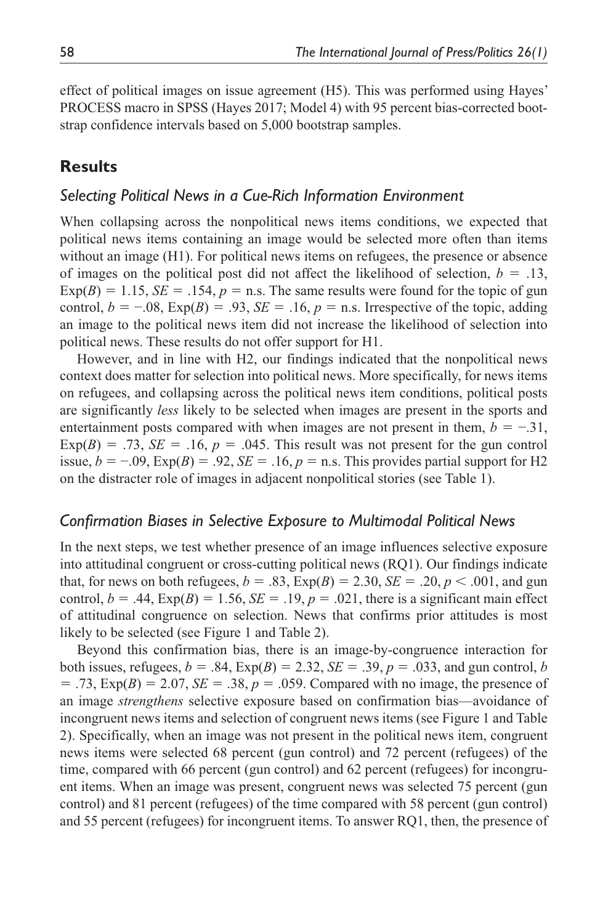effect of political images on issue agreement (H5). This was performed using Hayes' PROCESS macro in SPSS (Hayes 2017; Model 4) with 95 percent bias-corrected bootstrap confidence intervals based on 5,000 bootstrap samples.

# **Results**

#### *Selecting Political News in a Cue-Rich Information Environment*

When collapsing across the nonpolitical news items conditions, we expected that political news items containing an image would be selected more often than items without an image (H1). For political news items on refugees, the presence or absence of images on the political post did not affect the likelihood of selection,  $b = .13$ ,  $Exp(B) = 1.15$ ,  $SE = 0.154$ ,  $p = n$ .s. The same results were found for the topic of gun control,  $b = -.08$ ,  $Exp(B) = .93$ ,  $SE = .16$ ,  $p = n.s$ . Irrespective of the topic, adding an image to the political news item did not increase the likelihood of selection into political news. These results do not offer support for H1.

However, and in line with H2, our findings indicated that the nonpolitical news context does matter for selection into political news. More specifically, for news items on refugees, and collapsing across the political news item conditions, political posts are significantly *less* likely to be selected when images are present in the sports and entertainment posts compared with when images are not present in them,  $b = -.31$ ,  $Exp(B) = .73$ ,  $SE = .16$ ,  $p = .045$ . This result was not present for the gun control issue,  $b = -.09$ ,  $Exp(B) = .92$ ,  $SE = .16$ ,  $p = n.s$ . This provides partial support for H2 on the distracter role of images in adjacent nonpolitical stories (see Table 1).

## *Confirmation Biases in Selective Exposure to Multimodal Political News*

In the next steps, we test whether presence of an image influences selective exposure into attitudinal congruent or cross-cutting political news (RQ1). Our findings indicate that, for news on both refugees,  $b = .83$ ,  $Exp(B) = 2.30$ ,  $SE = .20$ ,  $p < .001$ , and gun control,  $b = .44$ ,  $Exp(B) = 1.56$ ,  $SE = .19$ ,  $p = .021$ , there is a significant main effect of attitudinal congruence on selection. News that confirms prior attitudes is most likely to be selected (see Figure 1 and Table 2).

Beyond this confirmation bias, there is an image-by-congruence interaction for both issues, refugees,  $b = .84$ ,  $Exp(B) = 2.32$ ,  $SE = .39$ ,  $p = .033$ , and gun control, *b*  $= .73$ ,  $Exp(B) = 2.07$ ,  $SE = .38$ ,  $p = .059$ . Compared with no image, the presence of an image *strengthens* selective exposure based on confirmation bias—avoidance of incongruent news items and selection of congruent news items (see Figure 1 and Table 2). Specifically, when an image was not present in the political news item, congruent news items were selected 68 percent (gun control) and 72 percent (refugees) of the time, compared with 66 percent (gun control) and 62 percent (refugees) for incongruent items. When an image was present, congruent news was selected 75 percent (gun control) and 81 percent (refugees) of the time compared with 58 percent (gun control) and 55 percent (refugees) for incongruent items. To answer RQ1, then, the presence of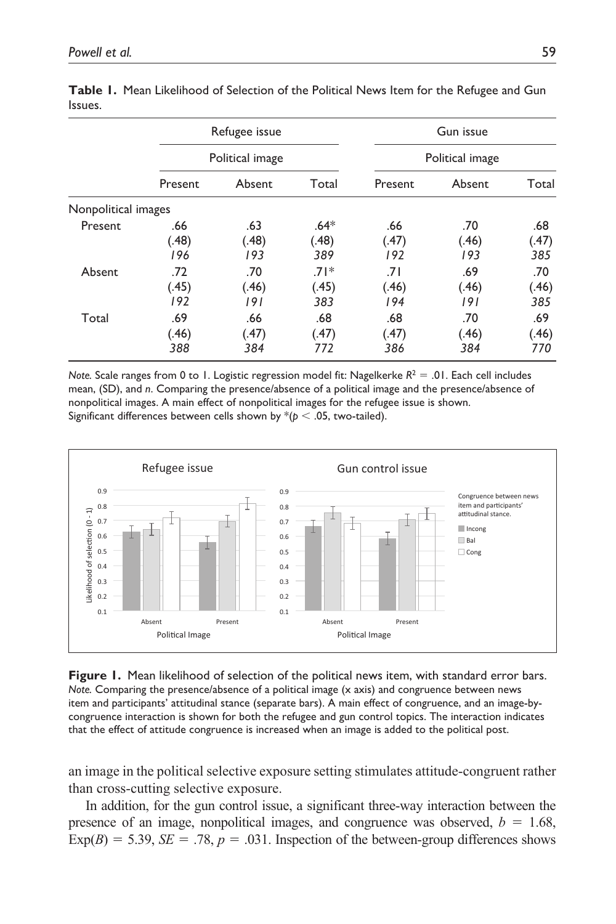|                     |                     | Refugee issue<br>Political image |                        |                     | Gun issue<br>Political image |                     |  |  |
|---------------------|---------------------|----------------------------------|------------------------|---------------------|------------------------------|---------------------|--|--|
|                     |                     |                                  |                        |                     |                              |                     |  |  |
|                     | Present             | Absent                           | Total                  | Present             | Absent                       | Total               |  |  |
| Nonpolitical images |                     |                                  |                        |                     |                              |                     |  |  |
| Present             | .66<br>(.48)<br>196 | .63<br>(.48)<br>193              | $.64*$<br>(.48)<br>389 | .66<br>(.47)<br>192 | .70<br>(.46)<br>193          | .68<br>(.47)<br>385 |  |  |
| Absent              | .72<br>(.45)<br>192 | .70<br>(.46)<br>191              | $.71*$<br>(.45)<br>383 | 7١.<br>(.46)<br>194 | .69<br>(.46)<br>191          | .70<br>(.46)<br>385 |  |  |
| Total               | .69<br>(.46)<br>388 | .66<br>(.47)<br>384              | .68<br>(.47)<br>772    | .68<br>(.47)<br>386 | .70<br>(.46)<br>384          | .69<br>(.46)<br>770 |  |  |

**Table 1.** Mean Likelihood of Selection of the Political News Item for the Refugee and Gun Issues.

*Note.* Scale ranges from 0 to 1. Logistic regression model fit: Nagelkerke  $R^2 = .01$ . Each cell includes mean, (SD), and *n*. Comparing the presence/absence of a political image and the presence/absence of nonpolitical images. A main effect of nonpolitical images for the refugee issue is shown. Significant differences between cells shown by  $*(p < .05,$  two-tailed).



**Figure 1.** Mean likelihood of selection of the political news item, with standard error bars. *Note.* Comparing the presence/absence of a political image (x axis) and congruence between news item and participants' attitudinal stance (separate bars). A main effect of congruence, and an image-bycongruence interaction is shown for both the refugee and gun control topics. The interaction indicates that the effect of attitude congruence is increased when an image is added to the political post.

an image in the political selective exposure setting stimulates attitude-congruent rather than cross-cutting selective exposure.

In addition, for the gun control issue, a significant three-way interaction between the presence of an image, nonpolitical images, and congruence was observed,  $b = 1.68$ ,  $Exp(B) = 5.39$ ,  $SE = .78$ ,  $p = .031$ . Inspection of the between-group differences shows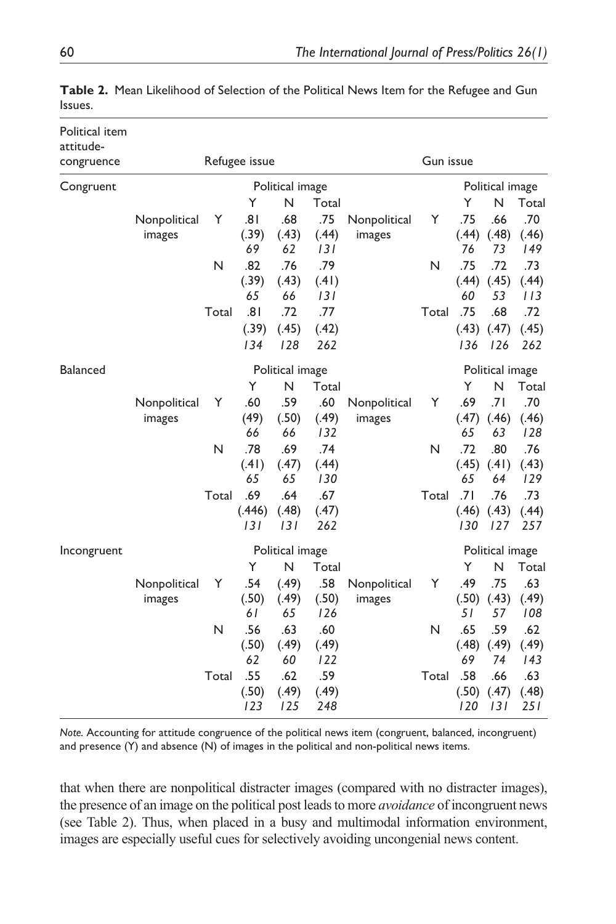| Political item<br>attitude-<br>congruence |                 |                            | Refugee issue |              |              |                 | Gun issue       |             |                 |              |
|-------------------------------------------|-----------------|----------------------------|---------------|--------------|--------------|-----------------|-----------------|-------------|-----------------|--------------|
| Congruent                                 | Political image |                            |               |              |              | Political image |                 |             |                 |              |
|                                           |                 | $\mathsf{N}$<br>Y<br>Total |               |              |              |                 |                 | Y           | $\mathsf{N}$    | Total        |
|                                           | Nonpolitical    | Y                          | .81           | .68          | .75          | Nonpolitical    | Y               | .75         | .66             | .70          |
|                                           | images          |                            | (.39)         | (.43)        | (.44)        | images          |                 | (.44)       | (.48)           | (.46)        |
|                                           |                 |                            | 69            | 62           | 131          |                 |                 | 76          | 73              | 149          |
|                                           |                 | N                          | .82           | .76          | .79          |                 | N               | .75         | .72             | .73          |
|                                           |                 |                            | (.39)         | (.43)        | (.41)        |                 |                 | (.44)       | (.45)           | (.44)        |
|                                           |                 |                            | 65            | 66           | 131          |                 |                 | 60          | 53              | 113          |
|                                           |                 | Total                      | .81           | .72          | .77          |                 | Total           | .75         | .68             | .72          |
|                                           |                 |                            | (.39)         | (.45)        | (.42)        |                 |                 |             | $(.43)$ $(.47)$ | (.45)        |
|                                           |                 |                            | 134           | 128          | 262          |                 |                 | 136         | 126             | 262          |
| <b>Balanced</b>                           |                 | Political image            |               |              |              |                 | Political image |             |                 |              |
|                                           |                 |                            | Υ             | $\mathsf{N}$ | Total        |                 |                 | Y           | N               | Total        |
|                                           | Nonpolitical    | Υ                          | .60           | .59          | .60          | Nonpolitical    | Y               | .69         | .71             | .70          |
|                                           | images          |                            | (49)          | (.50)        | (.49)        | images          |                 | (.47)       | (.46)           | (.46)        |
|                                           |                 |                            | 66            | 66           | 132          |                 |                 | 65          | 63              | 128          |
|                                           |                 | N                          | .78           | .69          | .74          |                 | N               | .72         | .80             | .76          |
|                                           |                 |                            | (.41)         | (.47)        | (.44)        |                 |                 | (.45)       | (.41)           | (.43)        |
|                                           |                 |                            | 65            | 65           | 130          |                 |                 | 65          | 64              | 129          |
|                                           |                 | Total                      | .69           | .64          | .67          |                 | Total           | .71         | .76             | .73          |
|                                           |                 |                            | (.446)        | (.48)        | (.47)        |                 |                 | (.46)       | (.43)           | (.44)        |
|                                           |                 |                            | 131           | 131          | 262          |                 |                 | 130         | 127             | 257          |
| Incongruent                               |                 | Political image            |               |              |              |                 | Political image |             |                 |              |
|                                           |                 |                            | Y             | N            | Total        |                 |                 | Y           | N               | Total        |
|                                           | Nonpolitical    | Υ                          | .54           | (.49)        | .58          | Nonpolitical    | Υ               | .49         | .75             | .63          |
|                                           | images          |                            | (.50)         | (.49)        | (.50)        | images          |                 | (.50)       | (.43)           | (.49)        |
|                                           |                 |                            | 61            | 65           | 126          |                 |                 | 51          | 57              | 108          |
|                                           |                 | N                          | .56           | .63          | .60          |                 | N               | .65         | .59             | .62          |
|                                           |                 |                            | (.50)<br>62   | (.49)<br>60  | (.49)<br>122 |                 |                 | (.48)<br>69 | (.49)<br>74     | (.49)<br>143 |
|                                           |                 |                            | .55           |              |              |                 |                 | .58         |                 |              |
|                                           |                 | Total                      | (.50)         | .62<br>(.49) | .59<br>(.49) |                 | Total           | (.50)       | .66<br>(.47)    | .63<br>(.48) |
|                                           |                 |                            | 123           | 125          | 248          |                 |                 | 120         | 131             | 251          |
|                                           |                 |                            |               |              |              |                 |                 |             |                 |              |

**Table 2.** Mean Likelihood of Selection of the Political News Item for the Refugee and Gun Issues.

*Note.* Accounting for attitude congruence of the political news item (congruent, balanced, incongruent) and presence (Y) and absence (N) of images in the political and non-political news items.

that when there are nonpolitical distracter images (compared with no distracter images), the presence of an image on the political post leads to more *avoidance* of incongruent news (see Table 2). Thus, when placed in a busy and multimodal information environment, images are especially useful cues for selectively avoiding uncongenial news content.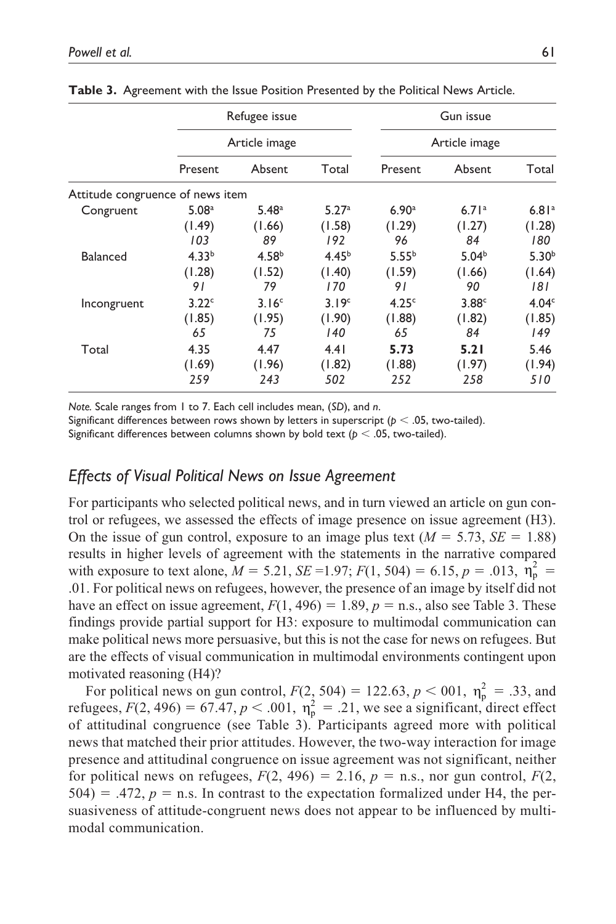|                                  | Refugee issue<br>Article image |                   |                   | Gun issue<br>Article image |                   |                   |  |
|----------------------------------|--------------------------------|-------------------|-------------------|----------------------------|-------------------|-------------------|--|
|                                  |                                |                   |                   |                            |                   |                   |  |
|                                  | Present                        | Absent            | Total             | Present                    | Absent            | Total             |  |
| Attitude congruence of news item |                                |                   |                   |                            |                   |                   |  |
| Congruent                        | 5.08 <sup>a</sup>              | 5.48 <sup>a</sup> | 5.27 <sup>a</sup> | 6.90 <sup>a</sup>          | 6.71a             | 6.81 <sup>a</sup> |  |
|                                  | (1.49)                         | (1.66)            | (1.58)            | (1.29)                     | (1.27)            | (1.28)            |  |
|                                  | 103                            | 89                | 192               | 96                         | 84                | 180               |  |
| Balanced                         | 4.33 <sup>b</sup>              | 4.58 <sup>b</sup> | 4.45 <sup>b</sup> | 5.55 <sup>b</sup>          | 5.04 <sup>b</sup> | 5.30 <sup>b</sup> |  |
|                                  | (1.28)                         | (1.52)            | (1.40)            | (1.59)                     | (1.66)            | (1.64)            |  |
|                                  | 91                             | 79                | 170               | 91                         | 90                | 181               |  |
| Incongruent                      | 3.22c                          | 3.16 <sup>c</sup> | 3.19c             | 4.25c                      | 3.88c             | 4.04 <sup>c</sup> |  |
|                                  | (1.85)                         | (1.95)            | (1.90)            | (1.88)                     | (1.82)            | (1.85)            |  |
|                                  | 65                             | 75                | 140               | 65                         | 84                | 149               |  |
| Total                            | 4.35                           | 4.47              | 4.41              | 5.73                       | 5.21              | 5.46              |  |
|                                  | (1.69)                         | (1.96)            | (1.82)            | (1.88)                     | (1.97)            | (1.94)            |  |
|                                  | 259                            | 243               | 502               | 252                        | 258               | 510               |  |

**Table 3.** Agreement with the Issue Position Presented by the Political News Article.

*Note.* Scale ranges from 1 to 7. Each cell includes mean, (*SD*), and *n*.

Significant differences between rows shown by letters in superscript (*p* < .05, two-tailed).

Significant differences between columns shown by bold text (*p* < .05, two-tailed).

# *Effects of Visual Political News on Issue Agreement*

For participants who selected political news, and in turn viewed an article on gun control or refugees, we assessed the effects of image presence on issue agreement (H3). On the issue of gun control, exposure to an image plus text  $(M = 5.73, SE = 1.88)$ results in higher levels of agreement with the statements in the narrative compared with exposure to text alone,  $\dot{M} = 5.21$ ,  $SE = 1.97$ ;  $F(1, 504) = 6.15$ ,  $p = .013$ ,  $\dot{n}_p^2 =$ .01. For political news on refugees, however, the presence of an image by itself did not have an effect on issue agreement,  $F(1, 496) = 1.89$ ,  $p =$  n.s., also see Table 3. These findings provide partial support for H3: exposure to multimodal communication can make political news more persuasive, but this is not the case for news on refugees. But are the effects of visual communication in multimodal environments contingent upon motivated reasoning (H4)?

For political news on gun control,  $F(2, 504) = 122.63$ ,  $p < 001$ ,  $\eta_p^2 = .33$ , and refugees,  $F(2, 496) = 67.47, p < .001, \eta_p^2 = .21$ , we see a significant, direct effect of attitudinal congruence (see Table 3). Participants agreed more with political news that matched their prior attitudes. However, the two-way interaction for image presence and attitudinal congruence on issue agreement was not significant, neither for political news on refugees,  $F(2, 496) = 2.16$ ,  $p =$  n.s., nor gun control,  $F(2, 496) = 2.16$ ,  $p =$  n.s., nor gun control,  $F(2, 496) = 2.16$  $504$ ) = .472,  $p =$  n.s. In contrast to the expectation formalized under H4, the persuasiveness of attitude-congruent news does not appear to be influenced by multimodal communication.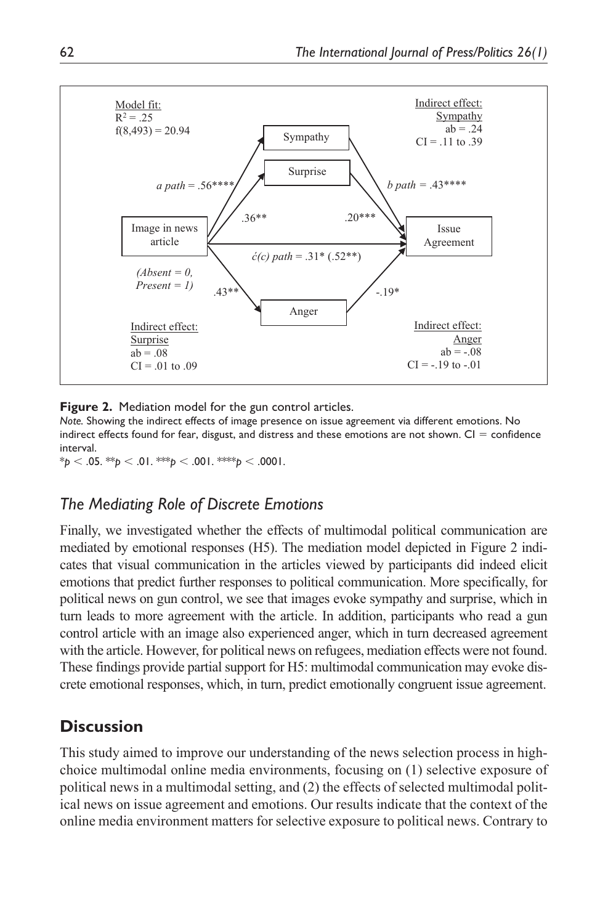

**Figure 2.** Mediation model for the gun control articles.

*Note.* Showing the indirect effects of image presence on issue agreement via different emotions. No indirect effects found for fear, disgust, and distress and these emotions are not shown.  $CI = confidence$ interval.

 $*_{p}$  < .05.  $*_{p}$  < .01.  $*_{p}$  < .001.  $*_{p}$  < .0001.

# *The Mediating Role of Discrete Emotions*

Finally, we investigated whether the effects of multimodal political communication are mediated by emotional responses (H5). The mediation model depicted in Figure 2 indicates that visual communication in the articles viewed by participants did indeed elicit emotions that predict further responses to political communication. More specifically, for political news on gun control, we see that images evoke sympathy and surprise, which in turn leads to more agreement with the article. In addition, participants who read a gun control article with an image also experienced anger, which in turn decreased agreement with the article. However, for political news on refugees, mediation effects were not found. These findings provide partial support for H5: multimodal communication may evoke discrete emotional responses, which, in turn, predict emotionally congruent issue agreement.

# **Discussion**

This study aimed to improve our understanding of the news selection process in highchoice multimodal online media environments, focusing on (1) selective exposure of political news in a multimodal setting, and (2) the effects of selected multimodal political news on issue agreement and emotions. Our results indicate that the context of the online media environment matters for selective exposure to political news. Contrary to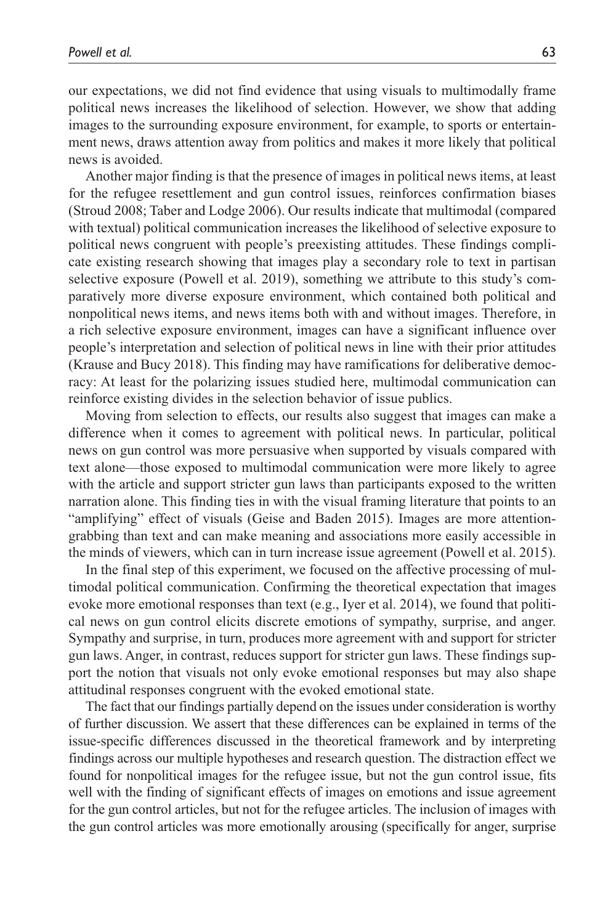our expectations, we did not find evidence that using visuals to multimodally frame political news increases the likelihood of selection. However, we show that adding images to the surrounding exposure environment, for example, to sports or entertainment news, draws attention away from politics and makes it more likely that political news is avoided.

Another major finding is that the presence of images in political news items, at least for the refugee resettlement and gun control issues, reinforces confirmation biases (Stroud 2008; Taber and Lodge 2006). Our results indicate that multimodal (compared with textual) political communication increases the likelihood of selective exposure to political news congruent with people's preexisting attitudes. These findings complicate existing research showing that images play a secondary role to text in partisan selective exposure (Powell et al. 2019), something we attribute to this study's comparatively more diverse exposure environment, which contained both political and nonpolitical news items, and news items both with and without images. Therefore, in a rich selective exposure environment, images can have a significant influence over people's interpretation and selection of political news in line with their prior attitudes (Krause and Bucy 2018). This finding may have ramifications for deliberative democracy: At least for the polarizing issues studied here, multimodal communication can reinforce existing divides in the selection behavior of issue publics.

Moving from selection to effects, our results also suggest that images can make a difference when it comes to agreement with political news. In particular, political news on gun control was more persuasive when supported by visuals compared with text alone—those exposed to multimodal communication were more likely to agree with the article and support stricter gun laws than participants exposed to the written narration alone. This finding ties in with the visual framing literature that points to an "amplifying" effect of visuals (Geise and Baden 2015). Images are more attentiongrabbing than text and can make meaning and associations more easily accessible in the minds of viewers, which can in turn increase issue agreement (Powell et al. 2015).

In the final step of this experiment, we focused on the affective processing of multimodal political communication. Confirming the theoretical expectation that images evoke more emotional responses than text (e.g., Iyer et al. 2014), we found that political news on gun control elicits discrete emotions of sympathy, surprise, and anger. Sympathy and surprise, in turn, produces more agreement with and support for stricter gun laws. Anger, in contrast, reduces support for stricter gun laws. These findings support the notion that visuals not only evoke emotional responses but may also shape attitudinal responses congruent with the evoked emotional state.

The fact that our findings partially depend on the issues under consideration is worthy of further discussion. We assert that these differences can be explained in terms of the issue-specific differences discussed in the theoretical framework and by interpreting findings across our multiple hypotheses and research question. The distraction effect we found for nonpolitical images for the refugee issue, but not the gun control issue, fits well with the finding of significant effects of images on emotions and issue agreement for the gun control articles, but not for the refugee articles. The inclusion of images with the gun control articles was more emotionally arousing (specifically for anger, surprise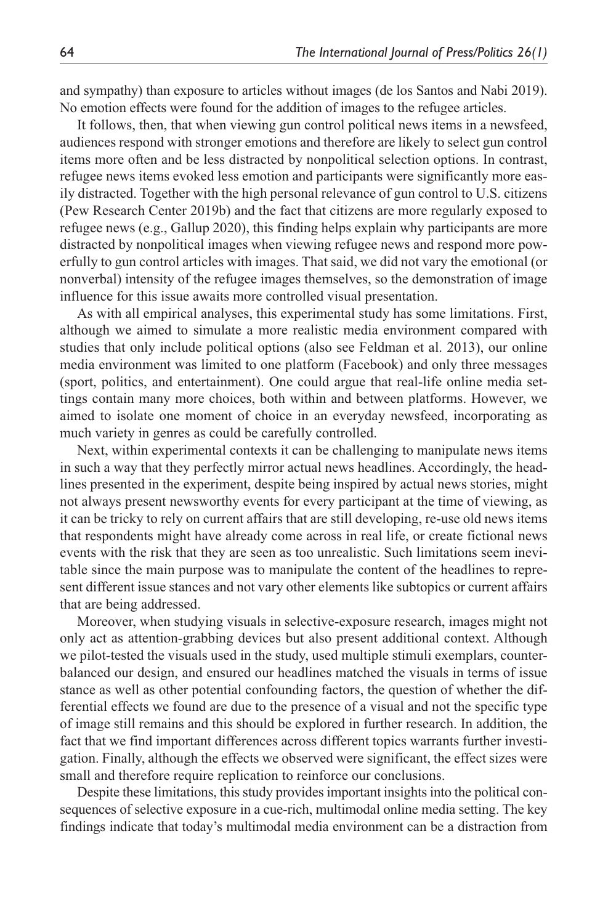and sympathy) than exposure to articles without images (de los Santos and Nabi 2019). No emotion effects were found for the addition of images to the refugee articles.

It follows, then, that when viewing gun control political news items in a newsfeed, audiences respond with stronger emotions and therefore are likely to select gun control items more often and be less distracted by nonpolitical selection options. In contrast, refugee news items evoked less emotion and participants were significantly more easily distracted. Together with the high personal relevance of gun control to U.S. citizens (Pew Research Center 2019b) and the fact that citizens are more regularly exposed to refugee news (e.g., Gallup 2020), this finding helps explain why participants are more distracted by nonpolitical images when viewing refugee news and respond more powerfully to gun control articles with images. That said, we did not vary the emotional (or nonverbal) intensity of the refugee images themselves, so the demonstration of image influence for this issue awaits more controlled visual presentation.

As with all empirical analyses, this experimental study has some limitations. First, although we aimed to simulate a more realistic media environment compared with studies that only include political options (also see Feldman et al. 2013), our online media environment was limited to one platform (Facebook) and only three messages (sport, politics, and entertainment). One could argue that real-life online media settings contain many more choices, both within and between platforms. However, we aimed to isolate one moment of choice in an everyday newsfeed, incorporating as much variety in genres as could be carefully controlled.

Next, within experimental contexts it can be challenging to manipulate news items in such a way that they perfectly mirror actual news headlines. Accordingly, the headlines presented in the experiment, despite being inspired by actual news stories, might not always present newsworthy events for every participant at the time of viewing, as it can be tricky to rely on current affairs that are still developing, re-use old news items that respondents might have already come across in real life, or create fictional news events with the risk that they are seen as too unrealistic. Such limitations seem inevitable since the main purpose was to manipulate the content of the headlines to represent different issue stances and not vary other elements like subtopics or current affairs that are being addressed.

Moreover, when studying visuals in selective-exposure research, images might not only act as attention-grabbing devices but also present additional context. Although we pilot-tested the visuals used in the study, used multiple stimuli exemplars, counterbalanced our design, and ensured our headlines matched the visuals in terms of issue stance as well as other potential confounding factors, the question of whether the differential effects we found are due to the presence of a visual and not the specific type of image still remains and this should be explored in further research. In addition, the fact that we find important differences across different topics warrants further investigation. Finally, although the effects we observed were significant, the effect sizes were small and therefore require replication to reinforce our conclusions.

Despite these limitations, this study provides important insights into the political consequences of selective exposure in a cue-rich, multimodal online media setting. The key findings indicate that today's multimodal media environment can be a distraction from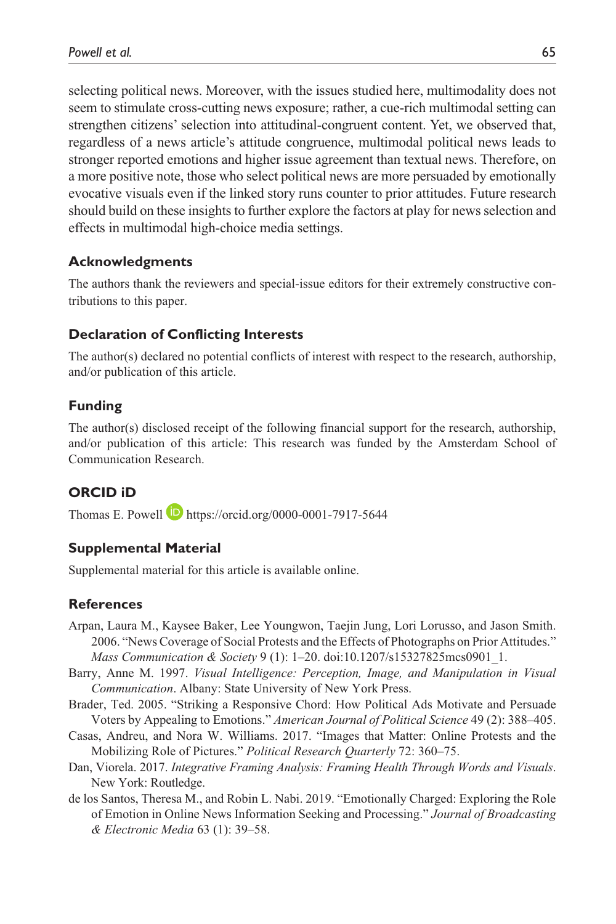selecting political news. Moreover, with the issues studied here, multimodality does not seem to stimulate cross-cutting news exposure; rather, a cue-rich multimodal setting can strengthen citizens' selection into attitudinal-congruent content. Yet, we observed that, regardless of a news article's attitude congruence, multimodal political news leads to stronger reported emotions and higher issue agreement than textual news. Therefore, on a more positive note, those who select political news are more persuaded by emotionally evocative visuals even if the linked story runs counter to prior attitudes. Future research should build on these insights to further explore the factors at play for news selection and effects in multimodal high-choice media settings.

## **Acknowledgments**

The authors thank the reviewers and special-issue editors for their extremely constructive contributions to this paper.

#### **Declaration of Conflicting Interests**

The author(s) declared no potential conflicts of interest with respect to the research, authorship, and/or publication of this article.

#### **Funding**

The author(s) disclosed receipt of the following financial support for the research, authorship, and/or publication of this article: This research was funded by the Amsterdam School of Communication Research.

## **ORCID iD**

Thomas E. Powell **D** <https://orcid.org/0000-0001-7917-5644>

#### **Supplemental Material**

Supplemental material for this article is available online.

#### **References**

- Arpan, Laura M., Kaysee Baker, Lee Youngwon, Taejin Jung, Lori Lorusso, and Jason Smith. 2006. "News Coverage of Social Protests and the Effects of Photographs on Prior Attitudes." *Mass Communication & Society* 9 (1): 1–20. doi:10.1207/s15327825mcs0901\_1.
- Barry, Anne M. 1997. *Visual Intelligence: Perception, Image, and Manipulation in Visual Communication*. Albany: State University of New York Press.
- Brader, Ted. 2005. "Striking a Responsive Chord: How Political Ads Motivate and Persuade Voters by Appealing to Emotions." *American Journal of Political Science* 49 (2): 388–405.
- Casas, Andreu, and Nora W. Williams. 2017. "Images that Matter: Online Protests and the Mobilizing Role of Pictures." *Political Research Quarterly* 72: 360–75.
- Dan, Viorela. 2017. *Integrative Framing Analysis: Framing Health Through Words and Visuals*. New York: Routledge.
- de los Santos, Theresa M., and Robin L. Nabi. 2019. "Emotionally Charged: Exploring the Role of Emotion in Online News Information Seeking and Processing." *Journal of Broadcasting & Electronic Media* 63 (1): 39–58.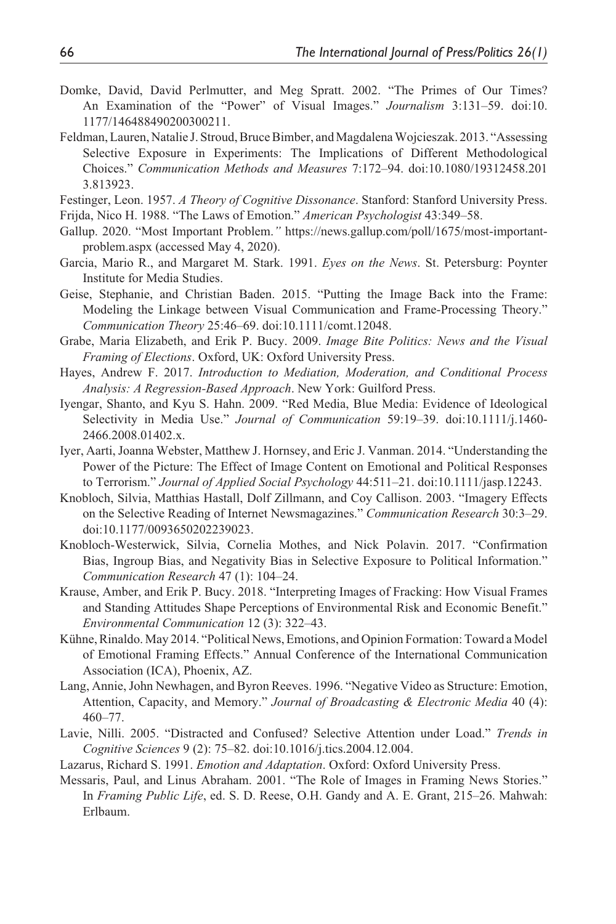- Domke, David, David Perlmutter, and Meg Spratt. 2002. "The Primes of Our Times? An Examination of the "Power" of Visual Images." *Journalism* 3:131–59. doi:10. 1177/146488490200300211.
- Feldman, Lauren, Natalie J. Stroud, Bruce Bimber, and Magdalena Wojcieszak. 2013. "Assessing Selective Exposure in Experiments: The Implications of Different Methodological Choices." *Communication Methods and Measures* 7:172–94. doi:10.1080/19312458.201 3.813923.
- Festinger, Leon. 1957. *A Theory of Cognitive Dissonance*. Stanford: Stanford University Press.
- Frijda, Nico H. 1988. "The Laws of Emotion." *American Psychologist* 43:349–58.
- Gallup. 2020. "Most Important Problem.*"* [https://news.gallup.com/poll/1675/most-important](https://news.gallup.com/poll/1675/most-important-problem.aspx)[problem.aspx](https://news.gallup.com/poll/1675/most-important-problem.aspx) (accessed May 4, 2020).
- Garcia, Mario R., and Margaret M. Stark. 1991. *Eyes on the News*. St. Petersburg: Poynter Institute for Media Studies.
- Geise, Stephanie, and Christian Baden. 2015. "Putting the Image Back into the Frame: Modeling the Linkage between Visual Communication and Frame-Processing Theory." *Communication Theory* 25:46–69. doi:10.1111/comt.12048.
- Grabe, Maria Elizabeth, and Erik P. Bucy. 2009. *Image Bite Politics: News and the Visual Framing of Elections*. Oxford, UK: Oxford University Press.
- Hayes, Andrew F. 2017. *Introduction to Mediation, Moderation, and Conditional Process Analysis: A Regression-Based Approach*. New York: Guilford Press.
- Iyengar, Shanto, and Kyu S. Hahn. 2009. "Red Media, Blue Media: Evidence of Ideological Selectivity in Media Use." *Journal of Communication* 59:19–39. doi:10.1111/j.1460- 2466.2008.01402.x.
- Iyer, Aarti, Joanna Webster, Matthew J. Hornsey, and Eric J. Vanman. 2014. "Understanding the Power of the Picture: The Effect of Image Content on Emotional and Political Responses to Terrorism." *Journal of Applied Social Psychology* 44:511–21. doi:10.1111/jasp.12243.
- Knobloch, Silvia, Matthias Hastall, Dolf Zillmann, and Coy Callison. 2003. "Imagery Effects on the Selective Reading of Internet Newsmagazines." *Communication Research* 30:3–29. doi:10.1177/0093650202239023.
- Knobloch-Westerwick, Silvia, Cornelia Mothes, and Nick Polavin. 2017. "Confirmation Bias, Ingroup Bias, and Negativity Bias in Selective Exposure to Political Information." *Communication Research* 47 (1): 104–24.
- Krause, Amber, and Erik P. Bucy. 2018. "Interpreting Images of Fracking: How Visual Frames and Standing Attitudes Shape Perceptions of Environmental Risk and Economic Benefit." *Environmental Communication* 12 (3): 322–43.
- Kühne, Rinaldo. May 2014. "Political News, Emotions, and Opinion Formation: Toward a Model of Emotional Framing Effects." Annual Conference of the International Communication Association (ICA), Phoenix, AZ.
- Lang, Annie, John Newhagen, and Byron Reeves. 1996. "Negative Video as Structure: Emotion, Attention, Capacity, and Memory." *Journal of Broadcasting & Electronic Media* 40 (4): 460–77.
- Lavie, Nilli. 2005. "Distracted and Confused? Selective Attention under Load." *Trends in Cognitive Sciences* 9 (2): 75–82. doi:10.1016/j.tics.2004.12.004.
- Lazarus, Richard S. 1991. *Emotion and Adaptation*. Oxford: Oxford University Press.
- Messaris, Paul, and Linus Abraham. 2001. "The Role of Images in Framing News Stories." In *Framing Public Life*, ed. S. D. Reese, O.H. Gandy and A. E. Grant, 215–26. Mahwah: Erlbaum.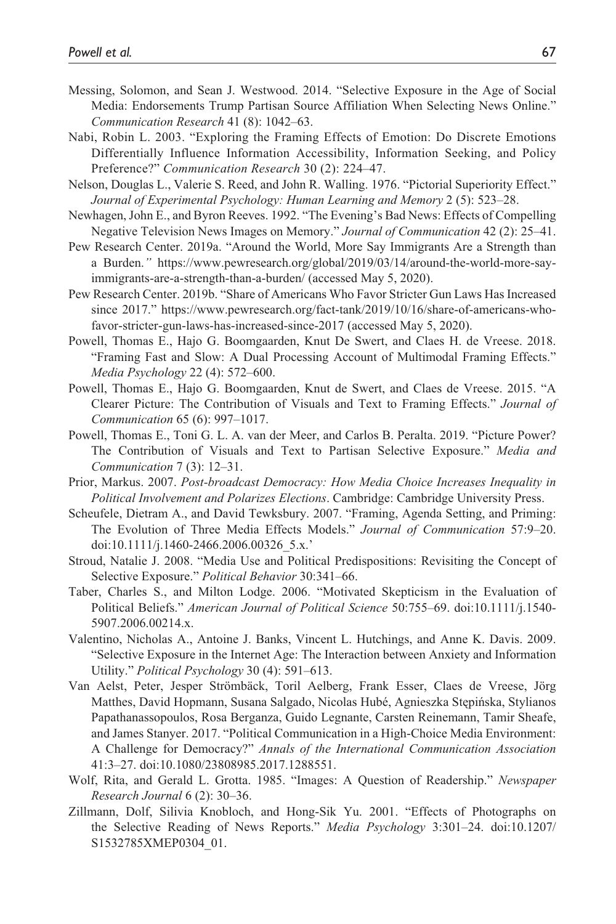- Messing, Solomon, and Sean J. Westwood. 2014. "Selective Exposure in the Age of Social Media: Endorsements Trump Partisan Source Affiliation When Selecting News Online." *Communication Research* 41 (8): 1042–63.
- Nabi, Robin L. 2003. "Exploring the Framing Effects of Emotion: Do Discrete Emotions Differentially Influence Information Accessibility, Information Seeking, and Policy Preference?" *Communication Research* 30 (2): 224–47.
- Nelson, Douglas L., Valerie S. Reed, and John R. Walling. 1976. "Pictorial Superiority Effect." *Journal of Experimental Psychology: Human Learning and Memory* 2 (5): 523–28.
- Newhagen, John E., and Byron Reeves. 1992. "The Evening's Bad News: Effects of Compelling Negative Television News Images on Memory." *Journal of Communication* 42 (2): 25–41.
- Pew Research Center. 2019a. "Around the World, More Say Immigrants Are a Strength than a Burden.*"* [https://www.pewresearch.org/global/2019/03/14/around-the-world-more-say](https://www.pewresearch.org/global/2019/03/14/around-the-world-more-say-immigrants-are-a-strength-than-a-burden/)[immigrants-are-a-strength-than-a-burden/](https://www.pewresearch.org/global/2019/03/14/around-the-world-more-say-immigrants-are-a-strength-than-a-burden/) (accessed May 5, 2020).
- Pew Research Center. 2019b. "Share of Americans Who Favor Stricter Gun Laws Has Increased since 2017." [https://www.pewresearch.org/fact-tank/2019/10/16/share-of-americans-who](https://www.pewresearch.org/fact-tank/2019/10/16/share-of-americans-who-favor-stricter-gun-laws-has-increased-since-2017)[favor-stricter-gun-laws-has-increased-since-2017](https://www.pewresearch.org/fact-tank/2019/10/16/share-of-americans-who-favor-stricter-gun-laws-has-increased-since-2017) (accessed May 5, 2020).
- Powell, Thomas E., Hajo G. Boomgaarden, Knut De Swert, and Claes H. de Vreese. 2018. "Framing Fast and Slow: A Dual Processing Account of Multimodal Framing Effects." *Media Psychology* 22 (4): 572–600.
- Powell, Thomas E., Hajo G. Boomgaarden, Knut de Swert, and Claes de Vreese. 2015. "A Clearer Picture: The Contribution of Visuals and Text to Framing Effects." *Journal of Communication* 65 (6): 997–1017.
- Powell, Thomas E., Toni G. L. A. van der Meer, and Carlos B. Peralta. 2019. "Picture Power? The Contribution of Visuals and Text to Partisan Selective Exposure." *Media and Communication* 7 (3): 12–31.
- Prior, Markus. 2007. *Post-broadcast Democracy: How Media Choice Increases Inequality in Political Involvement and Polarizes Elections*. Cambridge: Cambridge University Press.
- Scheufele, Dietram A., and David Tewksbury. 2007. "Framing, Agenda Setting, and Priming: The Evolution of Three Media Effects Models." *Journal of Communication* 57:9–20. doi:10.1111/j.1460-2466.2006.00326\_5.x.'
- Stroud, Natalie J. 2008. "Media Use and Political Predispositions: Revisiting the Concept of Selective Exposure." *Political Behavior* 30:341–66.
- Taber, Charles S., and Milton Lodge. 2006. "Motivated Skepticism in the Evaluation of Political Beliefs." *American Journal of Political Science* 50:755–69. doi:10.1111/j.1540- 5907.2006.00214.x.
- Valentino, Nicholas A., Antoine J. Banks, Vincent L. Hutchings, and Anne K. Davis. 2009. "Selective Exposure in the Internet Age: The Interaction between Anxiety and Information Utility." *Political Psychology* 30 (4): 591–613.
- Van Aelst, Peter, Jesper Strömbäck, Toril Aelberg, Frank Esser, Claes de Vreese, Jörg Matthes, David Hopmann, Susana Salgado, Nicolas Hubé, Agnieszka Stępińska, Stylianos Papathanassopoulos, Rosa Berganza, Guido Legnante, Carsten Reinemann, Tamir Sheafe, and James Stanyer. 2017. "Political Communication in a High-Choice Media Environment: A Challenge for Democracy?" *Annals of the International Communication Association* 41:3–27. doi:10.1080/23808985.2017.1288551.
- Wolf, Rita, and Gerald L. Grotta. 1985. "Images: A Question of Readership." *Newspaper Research Journal* 6 (2): 30–36.
- Zillmann, Dolf, Silivia Knobloch, and Hong-Sik Yu. 2001. "Effects of Photographs on the Selective Reading of News Reports." *Media Psychology* 3:301–24. doi:10.1207/ S1532785XMEP0304\_01.